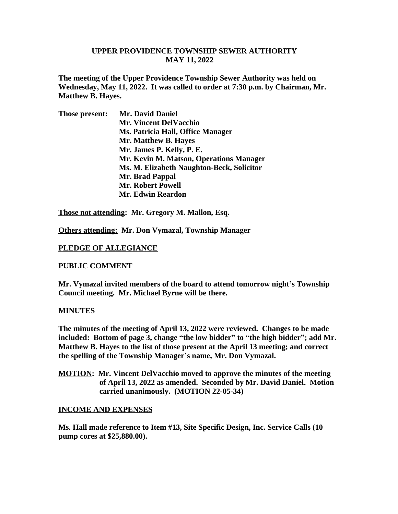## **UPPER PROVIDENCE TOWNSHIP SEWER AUTHORITY MAY 11, 2022**

**The meeting of the Upper Providence Township Sewer Authority was held on Wednesday, May 11, 2022. It was called to order at 7:30 p.m. by Chairman, Mr. Matthew B. Hayes.** 

| <b>Those present:</b> | <b>Mr. David Daniel</b>                   |
|-----------------------|-------------------------------------------|
|                       | <b>Mr. Vincent DelVacchio</b>             |
|                       | Ms. Patricia Hall, Office Manager         |
|                       | Mr. Matthew B. Hayes                      |
|                       | Mr. James P. Kelly, P. E.                 |
|                       | Mr. Kevin M. Matson, Operations Manager   |
|                       | Ms. M. Elizabeth Naughton-Beck, Solicitor |
|                       | Mr. Brad Pappal                           |
|                       | <b>Mr. Robert Powell</b>                  |
|                       | <b>Mr. Edwin Reardon</b>                  |
|                       |                                           |

**Those not attending: Mr. Gregory M. Mallon, Esq.**

**Others attending: Mr. Don Vymazal, Township Manager**

## **PLEDGE OF ALLEGIANCE**

### **PUBLIC COMMENT**

**Mr. Vymazal invited members of the board to attend tomorrow night's Township Council meeting. Mr. Michael Byrne will be there.**

### **MINUTES**

**The minutes of the meeting of April 13, 2022 were reviewed. Changes to be made included: Bottom of page 3, change "the low bidder" to "the high bidder"; add Mr. Matthew B. Hayes to the list of those present at the April 13 meeting; and correct the spelling of the Township Manager's name, Mr. Don Vymazal.**

**MOTION: Mr. Vincent DelVacchio moved to approve the minutes of the meeting of April 13, 2022 as amended. Seconded by Mr. David Daniel. Motion carried unanimously. (MOTION 22-05-34)**

### **INCOME AND EXPENSES**

**Ms. Hall made reference to Item #13, Site Specific Design, Inc. Service Calls (10 pump cores at \$25,880.00).**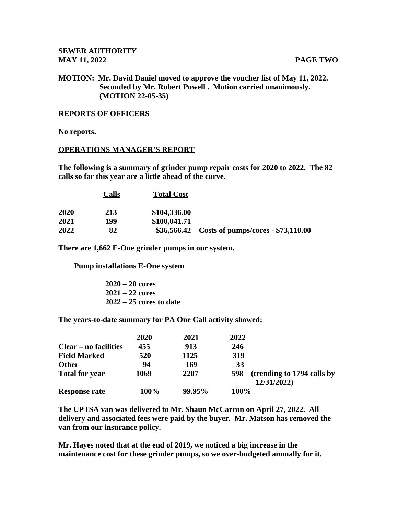# **MOTION: Mr. David Daniel moved to approve the voucher list of May 11, 2022. Seconded by Mr. Robert Powell . Motion carried unanimously. (MOTION 22-05-35)**

### **REPORTS OF OFFICERS**

**No reports.**

### **OPERATIONS MANAGER'S REPORT**

**The following is a summary of grinder pump repair costs for 2020 to 2022. The 82 calls so far this year are a little ahead of the curve.** 

|      | Calls | <b>Total Cost</b> |                                                |
|------|-------|-------------------|------------------------------------------------|
| 2020 | 213   | \$104,336.00      |                                                |
| 2021 | 199   | \$100,041.71      |                                                |
| 2022 | 82    |                   | \$36,566.42 Costs of pumps/cores - \$73,110.00 |

**There are 1,662 E-One grinder pumps in our system.**

 **Pump installations E-One system**

 **2020 – 20 cores 2021 – 22 cores 2022 – 25 cores to date**

**The years-to-date summary for PA One Call activity showed:**

|                              | 2020      | 2021        | 2022      |                                           |  |
|------------------------------|-----------|-------------|-----------|-------------------------------------------|--|
| <b>Clear – no facilities</b> | 455       | 913         | 246       |                                           |  |
| <b>Field Marked</b>          | 520       | 1125        | 319       |                                           |  |
| <b>Other</b>                 | <u>94</u> | <u> 169</u> | <u>33</u> |                                           |  |
| <b>Total for year</b>        | 1069      | 2207        | 598       | (trending to 1794 calls by<br>12/31/2022) |  |
| <b>Response rate</b>         | 100%      | 99.95%      |           | 100%                                      |  |

**The UPTSA van was delivered to Mr. Shaun McCarron on April 27, 2022. All delivery and associated fees were paid by the buyer. Mr. Matson has removed the van from our insurance policy.** 

**Mr. Hayes noted that at the end of 2019, we noticed a big increase in the maintenance cost for these grinder pumps, so we over-budgeted annually for it.**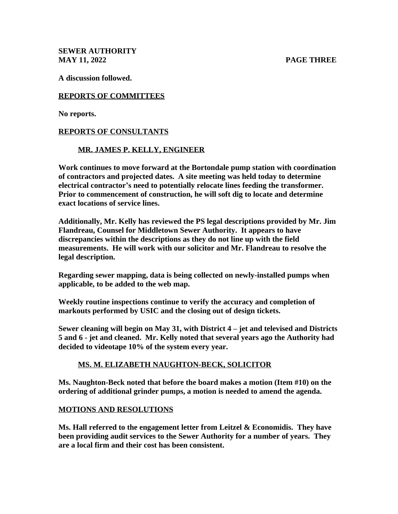**SEWER AUTHORITY MAY 11, 2022 PAGE THREE**

**A discussion followed.**

# **REPORTS OF COMMITTEES**

**No reports.**

# **REPORTS OF CONSULTANTS**

# **MR. JAMES P. KELLY, ENGINEER**

**Work continues to move forward at the Bortondale pump station with coordination of contractors and projected dates. A site meeting was held today to determine electrical contractor's need to potentially relocate lines feeding the transformer. Prior to commencement of construction, he will soft dig to locate and determine exact locations of service lines.**

**Additionally, Mr. Kelly has reviewed the PS legal descriptions provided by Mr. Jim Flandreau, Counsel for Middletown Sewer Authority. It appears to have discrepancies within the descriptions as they do not line up with the field measurements. He will work with our solicitor and Mr. Flandreau to resolve the legal description.** 

**Regarding sewer mapping, data is being collected on newly-installed pumps when applicable, to be added to the web map.**

**Weekly routine inspections continue to verify the accuracy and completion of markouts performed by USIC and the closing out of design tickets.**

**Sewer cleaning will begin on May 31, with District 4 – jet and televised and Districts 5 and 6 - jet and cleaned. Mr. Kelly noted that several years ago the Authority had decided to videotape 10% of the system every year.** 

# **MS. M. ELIZABETH NAUGHTON-BECK, SOLICITOR**

**Ms. Naughton-Beck noted that before the board makes a motion (Item #10) on the ordering of additional grinder pumps, a motion is needed to amend the agenda.**

## **MOTIONS AND RESOLUTIONS**

**Ms. Hall referred to the engagement letter from Leitzel & Economidis. They have been providing audit services to the Sewer Authority for a number of years. They are a local firm and their cost has been consistent.**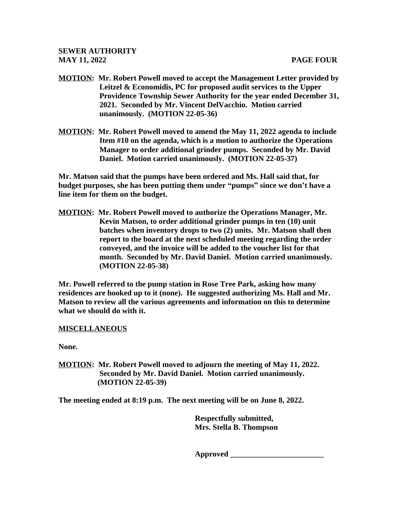- **MOTION: Mr. Robert Powell moved to accept the Management Letter provided by Leitzel & Economidis, PC for proposed audit services to the Upper Providence Township Sewer Authority for the year ended December 31, 2021. Seconded by Mr. Vincent DelVacchio. Motion carried unanimously. (MOTION 22-05-36)**
- **MOTION: Mr. Robert Powell moved to amend the May 11, 2022 agenda to include Item #10 on the agenda, which is a motion to authorize the Operations Manager to order additional grinder pumps. Seconded by Mr. David Daniel. Motion carried unanimously. (MOTION 22-05-37)**

**Mr. Matson said that the pumps have been ordered and Ms. Hall said that, for budget purposes, she has been putting them under "pumps" since we don't have a line item for them on the budget.**

**MOTION: Mr. Robert Powell moved to authorize the Operations Manager, Mr. Kevin Matson, to order additional grinder pumps in ten (10) unit batches when inventory drops to two (2) units. Mr. Matson shall then report to the board at the next scheduled meeting regarding the order conveyed, and the invoice will be added to the voucher list for that month. Seconded by Mr. David Daniel. Motion carried unanimously. (MOTION 22-05-38)**

**Mr. Powell referred to the pump station in Rose Tree Park, asking how many residences are hooked up to it (none). He suggested authorizing Ms. Hall and Mr. Matson to review all the various agreements and information on this to determine what we should do with it.** 

## **MISCELLANEOUS**

**None.**

**MOTION: Mr. Robert Powell moved to adjourn the meeting of May 11, 2022. Seconded by Mr. David Daniel. Motion carried unanimously. (MOTION 22-05-39)**

**The meeting ended at 8:19 p.m. The next meeting will be on June 8, 2022.**

 **Respectfully submitted, Mrs. Stella B. Thompson**

 **Approved \_\_\_\_\_\_\_\_\_\_\_\_\_\_\_\_\_\_\_\_\_\_\_\_**